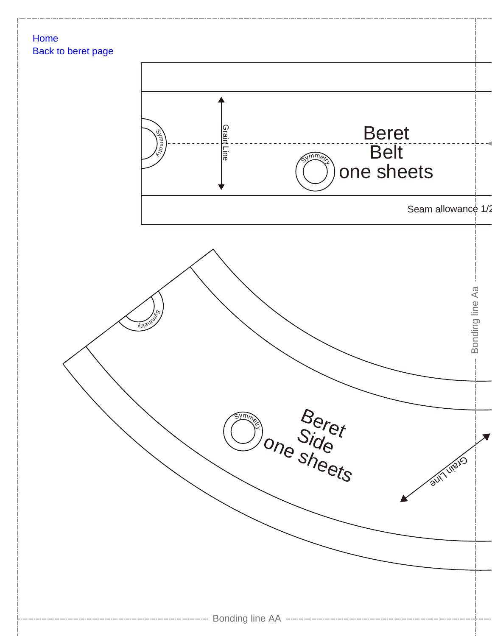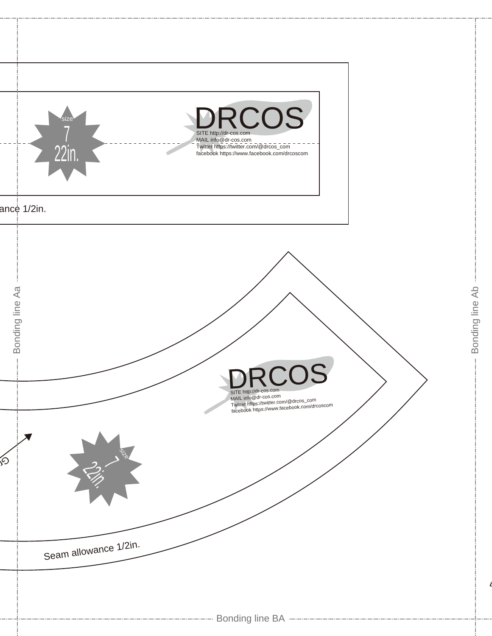

Bonding line Ab

Bonding line Ab